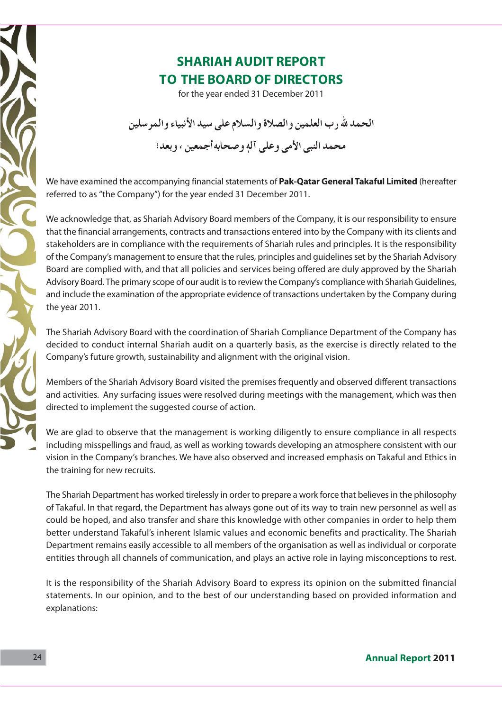## **SHARIAH AUDIT REPORT TO THE BOARD OF DIRECTORS**

for the year ended 31 December 2011

الحمد لله رب العلمين والصلاة والسلام على سيد الأنبياء والمر سلين

محمد النبي الأمي وعلى آلهٖ وصحابه أجمعين ، و بعد؛

We have examined the accompanying financial statements of Pak-Qatar General Takaful Limited (hereafter referred to as "the Company") for the year ended 31 December 2011.

We acknowledge that, as Shariah Advisory Board members of the Company, it is our responsibility to ensure that the financial arrangements, contracts and transactions entered into by the Company with its clients and stakeholders are in compliance with the requirements of Shariah rules and principles. It is the responsibility of the Company's management to ensure that the rules, principles and quidelines set by the Shariah Advisory Board are complied with, and that all policies and services being offered are duly approved by the Shariah Advisory Board. The primary scope of our audit is to review the Company's compliance with Shariah Guidelines, and include the examination of the appropriate evidence of transactions undertaken by the Company during the year 2011.

The Shariah Advisory Board with the coordination of Shariah Compliance Department of the Company has decided to conduct internal Shariah audit on a quarterly basis, as the exercise is directly related to the Company's future growth, sustainability and alignment with the original vision.

Members of the Shariah Advisory Board visited the premises frequently and observed different transactions and activities. Any surfacing issues were resolved during meetings with the management, which was then directed to implement the suggested course of action.

We are glad to observe that the management is working diligently to ensure compliance in all respects including misspellings and fraud, as well as working towards developing an atmosphere consistent with our vision in the Company's branches. We have also observed and increased emphasis on Takaful and Ethics in the training for new recruits.

The Shariah Department has worked tirelessly in order to prepare a work force that believes in the philosophy of Takaful. In that regard, the Department has always gone out of its way to train new personnel as well as could be hoped, and also transfer and share this knowledge with other companies in order to help them better understand Takaful's inherent Islamic values and economic benefits and practicality. The Shariah Department remains easily accessible to all members of the organisation as well as individual or corporate entities through all channels of communication, and plays an active role in laying misconceptions to rest.

It is the responsibility of the Shariah Advisory Board to express its opinion on the submitted financial statements. In our opinion, and to the best of our understanding based on provided information and explanations: